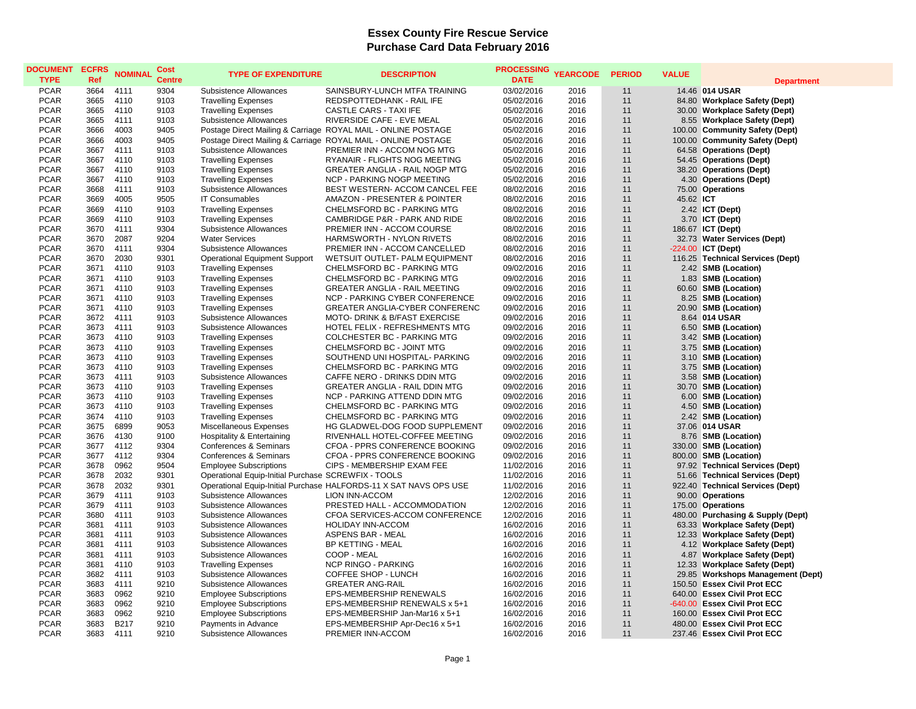## **Essex County Fire Rescue Service Purchase Card Data February 2016**

| <b>DOCUMENT</b><br><b>TYPE</b> | <b>ECFRS</b><br>Ref | <b>NOMINAL</b> | Cost<br><b>Centre</b> | <b>TYPE OF EXPENDITURE</b>                           | <b>DESCRIPTION</b>                                                | <b>PROCESSING</b><br><b>DATE</b> | <b>YEARCODE</b> | <b>PERIOD</b> | <b>VALUE</b> | <b>Department</b>                 |
|--------------------------------|---------------------|----------------|-----------------------|------------------------------------------------------|-------------------------------------------------------------------|----------------------------------|-----------------|---------------|--------------|-----------------------------------|
| <b>PCAR</b>                    | 3664                | 4111           | 9304                  | Subsistence Allowances                               | SAINSBURY-LUNCH MTFA TRAINING                                     | 03/02/2016                       | 2016            | 11            |              | 14.46 014 USAR                    |
| <b>PCAR</b>                    | 3665                | 4110           | 9103                  | <b>Travelling Expenses</b>                           | REDSPOTTEDHANK - RAIL IFE                                         | 05/02/2016                       | 2016            | 11            |              | 84.80 Workplace Safety (Dept)     |
| <b>PCAR</b>                    | 3665                | 4110           | 9103                  | <b>Travelling Expenses</b>                           | <b>CASTLE CARS - TAXI IFE</b>                                     | 05/02/2016                       | 2016            | 11            |              | 30.00 Workplace Safety (Dept)     |
| <b>PCAR</b>                    | 3665                | 4111           | 9103                  | Subsistence Allowances                               | RIVERSIDE CAFE - EVE MEAL                                         | 05/02/2016                       | 2016            | 11            |              | 8.55 Workplace Safety (Dept)      |
| <b>PCAR</b>                    | 3666                | 4003           | 9405                  |                                                      | Postage Direct Mailing & Carriage ROYAL MAIL - ONLINE POSTAGE     | 05/02/2016                       | 2016            | 11            |              | 100.00 Community Safety (Dept)    |
| <b>PCAR</b>                    | 3666                | 4003           | 9405                  |                                                      | Postage Direct Mailing & Carriage ROYAL MAIL - ONLINE POSTAGE     | 05/02/2016                       | 2016            | 11            |              | 100.00 Community Safety (Dept)    |
| <b>PCAR</b>                    | 3667                | 4111           | 9103                  | Subsistence Allowances                               | PREMIER INN - ACCOM NOG MTG                                       | 05/02/2016                       | 2016            | 11            |              | 64.58 Operations (Dept)           |
| <b>PCAR</b>                    | 3667                | 4110           | 9103                  | <b>Travelling Expenses</b>                           | RYANAIR - FLIGHTS NOG MEETING                                     | 05/02/2016                       | 2016            | 11            |              | 54.45 Operations (Dept)           |
| PCAR                           | 3667                | 4110           | 9103                  | <b>Travelling Expenses</b>                           | <b>GREATER ANGLIA - RAIL NOGP MTG</b>                             | 05/02/2016                       | 2016            | 11            |              | 38.20 Operations (Dept)           |
| <b>PCAR</b>                    | 3667                | 4110           | 9103                  | <b>Travelling Expenses</b>                           | NCP - PARKING NOGP MEETING                                        | 05/02/2016                       | 2016            | 11            |              | 4.30 Operations (Dept)            |
| <b>PCAR</b>                    | 3668                | 4111           | 9103                  | Subsistence Allowances                               | BEST WESTERN- ACCOM CANCEL FEE                                    | 08/02/2016                       | 2016            | 11            |              | 75.00 Operations                  |
| <b>PCAR</b>                    | 3669                | 4005           | 9505                  | <b>IT Consumables</b>                                | AMAZON - PRESENTER & POINTER                                      | 08/02/2016                       | 2016            | 11            | 45.62 ICT    |                                   |
| <b>PCAR</b>                    | 3669                | 4110           | 9103                  | <b>Travelling Expenses</b>                           | CHELMSFORD BC - PARKING MTG                                       | 08/02/2016                       | 2016            | 11            |              | 2.42 ICT (Dept)                   |
| <b>PCAR</b>                    | 3669                | 4110           | 9103                  | <b>Travelling Expenses</b>                           | CAMBRIDGE P&R - PARK AND RIDE                                     | 08/02/2016                       | 2016            | 11            |              | 3.70 <b>ICT</b> (Dept)            |
| <b>PCAR</b>                    | 3670                | 4111           | 9304                  | Subsistence Allowances                               | PREMIER INN - ACCOM COURSE                                        | 08/02/2016                       | 2016            | 11            |              | 186.67 ICT (Dept)                 |
| <b>PCAR</b>                    | 3670                | 2087           | 9204                  | <b>Water Services</b>                                | HARMSWORTH - NYLON RIVETS                                         | 08/02/2016                       | 2016            | 11            |              | 32.73 Water Services (Dept)       |
| <b>PCAR</b>                    | 3670                | 4111           | 9304                  | Subsistence Allowances                               | PREMIER INN - ACCOM CANCELLED                                     | 08/02/2016                       | 2016            | 11            |              | -224.00 ICT (Dept)                |
| <b>PCAR</b>                    | 3670                | 2030           | 9301                  | <b>Operational Equipment Support</b>                 | WETSUIT OUTLET- PALM EQUIPMENT                                    | 08/02/2016                       | 2016            | 11            |              | 116.25 Technical Services (Dept)  |
| <b>PCAR</b>                    | 3671                | 4110           | 9103                  | <b>Travelling Expenses</b>                           | CHELMSFORD BC - PARKING MTG                                       | 09/02/2016                       | 2016            | 11            |              | 2.42 SMB (Location)               |
| <b>PCAR</b>                    | 3671                | 4110           | 9103                  | <b>Travelling Expenses</b>                           | CHELMSFORD BC - PARKING MTG                                       | 09/02/2016                       | 2016            | 11            |              | 1.83 SMB (Location)               |
| <b>PCAR</b>                    | 3671                | 4110           | 9103                  | <b>Travelling Expenses</b>                           | <b>GREATER ANGLIA - RAIL MEETING</b>                              | 09/02/2016                       | 2016            | 11            |              | 60.60 SMB (Location)              |
| <b>PCAR</b>                    | 3671                | 4110           | 9103                  | <b>Travelling Expenses</b>                           | NCP - PARKING CYBER CONFERENCE                                    | 09/02/2016                       | 2016            | 11            |              | 8.25 SMB (Location)               |
| <b>PCAR</b>                    | 3671                | 4110           | 9103                  |                                                      | GREATER ANGLIA-CYBER CONFERENC                                    | 09/02/2016                       | 2016            | 11            |              | 20.90 SMB (Location)              |
| <b>PCAR</b>                    | 3672                | 4111           | 9103                  | <b>Travelling Expenses</b><br>Subsistence Allowances | <b>MOTO- DRINK &amp; B/FAST EXERCISE</b>                          | 09/02/2016                       | 2016            | 11            |              | 8.64 014 USAR                     |
| <b>PCAR</b>                    | 3673                | 4111           | 9103                  | Subsistence Allowances                               | HOTEL FELIX - REFRESHMENTS MTG                                    | 09/02/2016                       | 2016            | 11            |              | 6.50 SMB (Location)               |
| <b>PCAR</b>                    | 3673                | 4110           | 9103                  | <b>Travelling Expenses</b>                           | COLCHESTER BC - PARKING MTG                                       | 09/02/2016                       | 2016            | 11            |              | 3.42 SMB (Location)               |
| <b>PCAR</b>                    | 3673                | 4110           | 9103                  | <b>Travelling Expenses</b>                           | CHELMSFORD BC - JOINT MTG                                         | 09/02/2016                       | 2016            | 11            |              | 3.75 SMB (Location)               |
| <b>PCAR</b>                    | 3673                | 4110           | 9103                  | <b>Travelling Expenses</b>                           | SOUTHEND UNI HOSPITAL- PARKING                                    | 09/02/2016                       | 2016            | 11            |              | 3.10 SMB (Location)               |
| <b>PCAR</b>                    | 3673                | 4110           | 9103                  | <b>Travelling Expenses</b>                           | CHELMSFORD BC - PARKING MTG                                       | 09/02/2016                       | 2016            | 11            |              | 3.75 SMB (Location)               |
| <b>PCAR</b>                    | 3673                | 4111           | 9103                  | Subsistence Allowances                               | CAFFE NERO - DRINKS DDIN MTG                                      | 09/02/2016                       | 2016            | 11            |              | 3.58 SMB (Location)               |
| <b>PCAR</b>                    | 3673                | 4110           | 9103                  | <b>Travelling Expenses</b>                           | <b>GREATER ANGLIA - RAIL DDIN MTG</b>                             | 09/02/2016                       | 2016            | 11            |              | 30.70 SMB (Location)              |
| <b>PCAR</b>                    | 3673                | 4110           | 9103                  | <b>Travelling Expenses</b>                           | NCP - PARKING ATTEND DDIN MTG                                     | 09/02/2016                       | 2016            | 11            |              | 6.00 SMB (Location)               |
| <b>PCAR</b>                    | 3673                | 4110           | 9103                  | <b>Travelling Expenses</b>                           | CHELMSFORD BC - PARKING MTG                                       | 09/02/2016                       | 2016            | 11            |              | 4.50 SMB (Location)               |
| <b>PCAR</b>                    | 3674                | 4110           | 9103                  | <b>Travelling Expenses</b>                           | CHELMSFORD BC - PARKING MTG                                       | 09/02/2016                       | 2016            | 11            |              | 2.42 SMB (Location)               |
| <b>PCAR</b>                    | 3675                | 6899           | 9053                  | Miscellaneous Expenses                               | HG GLADWEL-DOG FOOD SUPPLEMENT                                    | 09/02/2016                       | 2016            | 11            |              | 37.06 014 USAR                    |
| <b>PCAR</b>                    | 3676                | 4130           | 9100                  | Hospitality & Entertaining                           | RIVENHALL HOTEL-COFFEE MEETING                                    | 09/02/2016                       | 2016            | 11            |              | 8.76 SMB (Location)               |
| <b>PCAR</b>                    | 3677                | 4112           | 9304                  | Conferences & Seminars                               | CFOA - PPRS CONFERENCE BOOKING                                    | 09/02/2016                       | 2016            | 11            |              | 330.00 SMB (Location)             |
| <b>PCAR</b>                    | 3677                | 4112           | 9304                  | Conferences & Seminars                               | CFOA - PPRS CONFERENCE BOOKING                                    | 09/02/2016                       | 2016            | 11            |              | 800.00 SMB (Location)             |
| <b>PCAR</b>                    | 3678                | 0962           | 9504                  | <b>Employee Subscriptions</b>                        | CIPS - MEMBERSHIP EXAM FEE                                        | 11/02/2016                       | 2016            | 11            |              | 97.92 Technical Services (Dept)   |
| <b>PCAR</b>                    | 3678                | 2032           | 9301                  | Operational Equip-Initial Purchase SCREWFIX - TOOLS  |                                                                   | 11/02/2016                       | 2016            | 11            |              | 51.66 Technical Services (Dept)   |
| PCAR                           | 3678                | 2032           | 9301                  |                                                      | Operational Equip-Initial Purchase HALFORDS-11 X SAT NAVS OPS USE | 11/02/2016                       | 2016            | 11            |              | 922.40 Technical Services (Dept)  |
| <b>PCAR</b>                    | 3679                | 4111           | 9103                  | Subsistence Allowances                               | LION INN-ACCOM                                                    | 12/02/2016                       | 2016            | 11            |              | 90.00 Operations                  |
| <b>PCAR</b>                    | 3679                | 4111           | 9103                  | Subsistence Allowances                               | PRESTED HALL - ACCOMMODATION                                      | 12/02/2016                       | 2016            | 11            |              | 175.00 Operations                 |
| <b>PCAR</b>                    | 3680                | 4111           | 9103                  | Subsistence Allowances                               | CFOA SERVICES-ACCOM CONFERENCE                                    | 12/02/2016                       | 2016            | 11            |              | 480.00 Purchasing & Supply (Dept) |
| <b>PCAR</b>                    | 3681                | 4111           | 9103                  | Subsistence Allowances                               | <b>HOLIDAY INN-ACCOM</b>                                          | 16/02/2016                       | 2016            | 11            |              | 63.33 Workplace Safety (Dept)     |
| <b>PCAR</b>                    | 3681                | 4111           | 9103                  | Subsistence Allowances                               | <b>ASPENS BAR - MEAL</b>                                          | 16/02/2016                       | 2016            | 11            |              | 12.33 Workplace Safety (Dept)     |
| <b>PCAR</b>                    | 3681                | 4111           | 9103                  | Subsistence Allowances                               | BP KETTING - MEAL                                                 | 16/02/2016                       | 2016            | 11            |              | 4.12 Workplace Safety (Dept)      |
| <b>PCAR</b>                    | 3681                | 4111           | 9103                  | Subsistence Allowances                               | COOP - MEAL                                                       | 16/02/2016                       | 2016            | 11            |              | 4.87 Workplace Safety (Dept)      |
| <b>PCAR</b>                    | 3681                | 4110           | 9103                  | <b>Travelling Expenses</b>                           | <b>NCP RINGO - PARKING</b>                                        | 16/02/2016                       | 2016            | 11            |              | 12.33 Workplace Safety (Dept)     |
| <b>PCAR</b>                    | 3682                | 4111           | 9103                  | Subsistence Allowances                               | COFFEE SHOP - LUNCH                                               | 16/02/2016                       | 2016            | 11            |              | 29.85 Workshops Management (Dept) |
| <b>PCAR</b>                    | 3683                | 4111           | 9210                  | Subsistence Allowances                               | <b>GREATER ANG-RAIL</b>                                           | 16/02/2016                       | 2016            | 11            |              | 150.50 Essex Civil Prot ECC       |
| <b>PCAR</b>                    | 3683                | 0962           | 9210                  | <b>Employee Subscriptions</b>                        | EPS-MEMBERSHIP RENEWALS                                           | 16/02/2016                       | 2016            | 11            |              | 640.00 Essex Civil Prot ECC       |
| <b>PCAR</b>                    | 3683                | 0962           | 9210                  | <b>Employee Subscriptions</b>                        | EPS-MEMBERSHIP RENEWALS x 5+1                                     | 16/02/2016                       | 2016            | 11            |              | -640.00 Essex Civil Prot ECC      |
| <b>PCAR</b>                    | 3683                | 0962           | 9210                  | <b>Employee Subscriptions</b>                        | EPS-MEMBERSHIP Jan-Mar16 x 5+1                                    | 16/02/2016                       | 2016            | 11            |              | 160.00 Essex Civil Prot ECC       |
| <b>PCAR</b>                    | 3683                | <b>B217</b>    | 9210                  | Payments in Advance                                  | EPS-MEMBERSHIP Apr-Dec16 x 5+1                                    | 16/02/2016                       | 2016            | 11            |              | 480.00 Essex Civil Prot ECC       |
| <b>PCAR</b>                    | 3683                | 4111           | 9210                  | Subsistence Allowances                               | PREMIER INN-ACCOM                                                 | 16/02/2016                       | 2016            | 11            |              | 237.46 Essex Civil Prot ECC       |
|                                |                     |                |                       |                                                      |                                                                   |                                  |                 |               |              |                                   |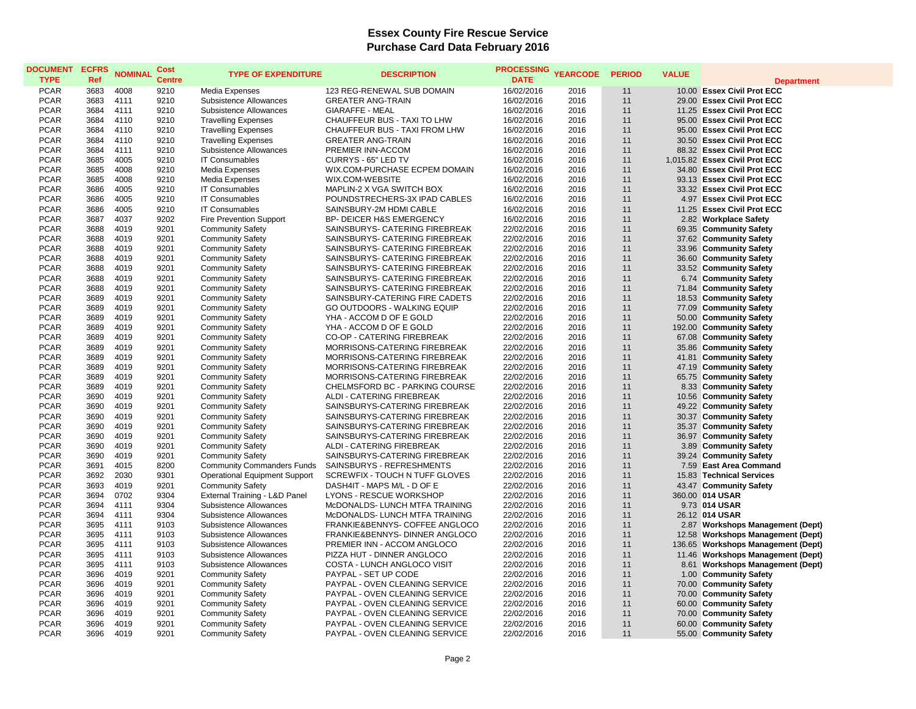## **Essex County Fire Rescue Service Purchase Card Data February 2016**

| <b>DOCUMENT</b><br><b>TYPE</b> | <b>ECFRS</b><br>Ref | <b>NOMINAL</b> | Cost<br><b>Centre</b> | <b>TYPE OF EXPENDITURE</b>           | <b>DESCRIPTION</b>                  | <b>PROCESSING</b><br><b>DATE</b> | <b>YEARCODE</b> | <b>PERIOD</b> | <b>VALUE</b> | <b>Department</b>                  |
|--------------------------------|---------------------|----------------|-----------------------|--------------------------------------|-------------------------------------|----------------------------------|-----------------|---------------|--------------|------------------------------------|
| <b>PCAR</b>                    | 3683                | 4008           | 9210                  | Media Expenses                       | 123 REG-RENEWAL SUB DOMAIN          | 16/02/2016                       | 2016            | 11            |              | 10.00 Essex Civil Prot ECC         |
| <b>PCAR</b>                    | 3683                | 4111           | 9210                  | Subsistence Allowances               | <b>GREATER ANG-TRAIN</b>            | 16/02/2016                       | 2016            | 11            |              | 29.00 Essex Civil Prot ECC         |
| <b>PCAR</b>                    | 3684                | 4111           | 9210                  | Subsistence Allowances               | <b>GIARAFFE - MEAL</b>              | 16/02/2016                       | 2016            | 11            |              | 11.25 Essex Civil Prot ECC         |
| <b>PCAR</b>                    | 3684                | 4110           | 9210                  | <b>Travelling Expenses</b>           | CHAUFFEUR BUS - TAXI TO LHW         | 16/02/2016                       | 2016            | 11            |              | 95.00 Essex Civil Prot ECC         |
| <b>PCAR</b>                    | 3684                | 4110           | 9210                  | <b>Travelling Expenses</b>           | CHAUFFEUR BUS - TAXI FROM LHW       | 16/02/2016                       | 2016            | 11            |              | 95.00 Essex Civil Prot ECC         |
| <b>PCAR</b>                    | 3684                | 4110           | 9210                  | <b>Travelling Expenses</b>           | <b>GREATER ANG-TRAIN</b>            | 16/02/2016                       | 2016            | 11            |              | 30.50 Essex Civil Prot ECC         |
| <b>PCAR</b>                    | 3684                | 4111           | 9210                  | Subsistence Allowances               | PREMIER INN-ACCOM                   | 16/02/2016                       | 2016            | 11            |              | 88.32 Essex Civil Prot ECC         |
| <b>PCAR</b>                    | 3685                | 4005           | 9210                  | <b>IT Consumables</b>                | CURRYS - 65" LED TV                 | 16/02/2016                       | 2016            | 11            |              | 1,015.82 Essex Civil Prot ECC      |
| <b>PCAR</b>                    | 3685                | 4008           | 9210                  | Media Expenses                       | WIX.COM-PURCHASE ECPEM DOMAIN       | 16/02/2016                       | 2016            | 11            |              | 34.80 Essex Civil Prot ECC         |
| <b>PCAR</b>                    | 3685                | 4008           | 9210                  | Media Expenses                       | WIX.COM-WEBSITE                     | 16/02/2016                       | 2016            | 11            |              | 93.13 Essex Civil Prot ECC         |
| <b>PCAR</b>                    | 3686                | 4005           | 9210                  | <b>IT Consumables</b>                | MAPLIN-2 X VGA SWITCH BOX           | 16/02/2016                       | 2016            | 11            |              | 33.32 Essex Civil Prot ECC         |
| <b>PCAR</b>                    | 3686                | 4005           | 9210                  | <b>IT Consumables</b>                | POUNDSTRECHERS-3X IPAD CABLES       | 16/02/2016                       | 2016            | 11            |              | 4.97 Essex Civil Prot ECC          |
| <b>PCAR</b>                    | 3686                | 4005           | 9210                  | <b>IT Consumables</b>                | SAINSBURY-2M HDMI CABLE             | 16/02/2016                       | 2016            | 11            |              | 11.25 Essex Civil Prot ECC         |
| <b>PCAR</b>                    | 3687                | 4037           | 9202                  | Fire Prevention Support              | <b>BP- DEICER H&amp;S EMERGENCY</b> | 16/02/2016                       | 2016            | 11            |              | 2.82 Workplace Safety              |
| <b>PCAR</b>                    | 3688                | 4019           | 9201                  | <b>Community Safety</b>              | SAINSBURYS- CATERING FIREBREAK      | 22/02/2016                       | 2016            | 11            |              | 69.35 Community Safety             |
| PCAR                           | 3688                | 4019           | 9201                  | <b>Community Safety</b>              | SAINSBURYS- CATERING FIREBREAK      | 22/02/2016                       | 2016            | 11            |              | 37.62 Community Safety             |
| <b>PCAR</b>                    | 3688                | 4019           | 9201                  | <b>Community Safety</b>              | SAINSBURYS- CATERING FIREBREAK      | 22/02/2016                       | 2016            | 11            |              | 33.96 Community Safety             |
| <b>PCAR</b>                    | 3688                | 4019           | 9201                  | <b>Community Safety</b>              | SAINSBURYS- CATERING FIREBREAK      | 22/02/2016                       | 2016            | 11            |              | 36.60 Community Safety             |
| <b>PCAR</b>                    | 3688                | 4019           | 9201                  | <b>Community Safety</b>              | SAINSBURYS- CATERING FIREBREAK      | 22/02/2016                       | 2016            | 11            |              | 33.52 Community Safety             |
| <b>PCAR</b>                    | 3688                | 4019           | 9201                  | <b>Community Safety</b>              | SAINSBURYS- CATERING FIREBREAK      | 22/02/2016                       | 2016            | 11            |              | 6.74 Community Safety              |
| <b>PCAR</b>                    | 3688                | 4019           | 9201                  | <b>Community Safety</b>              | SAINSBURYS- CATERING FIREBREAK      | 22/02/2016                       | 2016            | 11            |              | 71.84 Community Safety             |
| <b>PCAR</b>                    | 3689                | 4019           | 9201                  | <b>Community Safety</b>              | SAINSBURY-CATERING FIRE CADETS      | 22/02/2016                       | 2016            | 11            |              | 18.53 Community Safety             |
| <b>PCAR</b>                    | 3689                | 4019           | 9201                  | <b>Community Safety</b>              | GO OUTDOORS - WALKING EQUIP         | 22/02/2016                       | 2016            | 11            |              | 77.09 Community Safety             |
| <b>PCAR</b>                    | 3689                | 4019           | 9201                  | <b>Community Safety</b>              | YHA - ACCOM D OF E GOLD             | 22/02/2016                       | 2016            | 11            |              | 50.00 Community Safety             |
| <b>PCAR</b>                    | 3689                | 4019           | 9201                  | <b>Community Safety</b>              | YHA - ACCOM D OF E GOLD             | 22/02/2016                       | 2016            | 11            |              | 192.00 Community Safety            |
| <b>PCAR</b>                    | 3689                | 4019           | 9201                  | <b>Community Safety</b>              | CO-OP - CATERING FIREBREAK          | 22/02/2016                       | 2016            | 11            |              | 67.08 Community Safety             |
| <b>PCAR</b>                    | 3689                | 4019           | 9201                  | <b>Community Safety</b>              | MORRISONS-CATERING FIREBREAK        | 22/02/2016                       | 2016            | 11            |              | 35.86 Community Safety             |
| <b>PCAR</b>                    | 3689                | 4019           | 9201                  | <b>Community Safety</b>              | MORRISONS-CATERING FIREBREAK        | 22/02/2016                       | 2016            | 11            |              | 41.81 Community Safety             |
| <b>PCAR</b>                    | 3689                | 4019           | 9201                  | <b>Community Safety</b>              | MORRISONS-CATERING FIREBREAK        | 22/02/2016                       | 2016            | 11            |              | 47.19 Community Safety             |
| <b>PCAR</b>                    | 3689                | 4019           | 9201                  | <b>Community Safety</b>              | MORRISONS-CATERING FIREBREAK        | 22/02/2016                       | 2016            | 11            |              | 65.75 Community Safety             |
| <b>PCAR</b>                    | 3689                | 4019           | 9201                  | <b>Community Safety</b>              | CHELMSFORD BC - PARKING COURSE      | 22/02/2016                       | 2016            | 11            |              | 8.33 Community Safety              |
| <b>PCAR</b>                    | 3690                | 4019           | 9201                  | <b>Community Safety</b>              | ALDI - CATERING FIREBREAK           | 22/02/2016                       | 2016            | 11            |              | 10.56 Community Safety             |
| <b>PCAR</b>                    | 3690                | 4019           | 9201                  | <b>Community Safety</b>              | SAINSBURYS-CATERING FIREBREAK       | 22/02/2016                       | 2016            | 11            |              | 49.22 Community Safety             |
| <b>PCAR</b>                    | 3690                | 4019           | 9201                  | <b>Community Safety</b>              | SAINSBURYS-CATERING FIREBREAK       | 22/02/2016                       | 2016            | 11            |              | 30.37 Community Safety             |
| <b>PCAR</b>                    | 3690                | 4019           | 9201                  | <b>Community Safety</b>              | SAINSBURYS-CATERING FIREBREAK       | 22/02/2016                       | 2016            | 11            |              | 35.37 Community Safety             |
| <b>PCAR</b>                    | 3690                | 4019           | 9201                  | <b>Community Safety</b>              | SAINSBURYS-CATERING FIREBREAK       | 22/02/2016                       | 2016            | 11            |              | 36.97 Community Safety             |
| <b>PCAR</b>                    | 3690                | 4019           | 9201                  | <b>Community Safety</b>              | ALDI - CATERING FIREBREAK           | 22/02/2016                       | 2016            | 11            |              | 3.89 Community Safety              |
| <b>PCAR</b>                    | 3690                | 4019           | 9201                  | <b>Community Safety</b>              | SAINSBURYS-CATERING FIREBREAK       | 22/02/2016                       | 2016            | 11            |              | 39.24 Community Safety             |
| <b>PCAR</b>                    | 3691                | 4015           | 8200                  | <b>Community Commanders Funds</b>    | SAINSBURYS - REFRESHMENTS           | 22/02/2016                       | 2016            | 11            |              | 7.59 East Area Command             |
| <b>PCAR</b>                    | 3692                | 2030           | 9301                  | <b>Operational Equipment Support</b> | SCREWFIX - TOUCH N TUFF GLOVES      | 22/02/2016                       | 2016            | 11            |              | 15.83 Technical Services           |
| <b>PCAR</b>                    | 3693                | 4019           | 9201                  | <b>Community Safety</b>              | DASH4IT - MAPS M/L - D OF E         | 22/02/2016                       | 2016            | 11            |              | 43.47 Community Safety             |
| <b>PCAR</b>                    | 3694                | 0702           | 9304                  | External Training - L&D Panel        | LYONS - RESCUE WORKSHOP             | 22/02/2016                       | 2016            | 11            |              | 360.00 014 USAR                    |
| <b>PCAR</b>                    | 3694                | 4111           | 9304                  | Subsistence Allowances               | McDONALDS- LUNCH MTFA TRAINING      | 22/02/2016                       | 2016            | 11            |              | 9.73 014 USAR                      |
| <b>PCAR</b>                    | 3694                | 4111           | 9304                  | Subsistence Allowances               | McDONALDS- LUNCH MTFA TRAINING      | 22/02/2016                       | 2016            | 11            |              | 26.12 014 USAR                     |
| <b>PCAR</b>                    | 3695                | 4111           | 9103                  | Subsistence Allowances               | FRANKIE&BENNYS- COFFEE ANGLOCO      | 22/02/2016                       | 2016            | 11            |              | 2.87 Workshops Management (Dept)   |
| <b>PCAR</b>                    | 3695                | 4111           | 9103                  | Subsistence Allowances               | FRANKIE&BENNYS- DINNER ANGLOCO      | 22/02/2016                       | 2016            | 11            |              | 12.58 Workshops Management (Dept)  |
| <b>PCAR</b>                    | 3695                | 4111           | 9103                  | Subsistence Allowances               | PREMIER INN - ACCOM ANGLOCO         | 22/02/2016                       | 2016            | 11            |              | 136.65 Workshops Management (Dept) |
| <b>PCAR</b>                    | 3695                | 4111           | 9103                  | Subsistence Allowances               | PIZZA HUT - DINNER ANGLOCO          | 22/02/2016                       | 2016            | 11            |              | 11.46 Workshops Management (Dept)  |
| <b>PCAR</b>                    | 3695                | 4111           | 9103                  | Subsistence Allowances               | COSTA - LUNCH ANGLOCO VISIT         | 22/02/2016                       | 2016            | 11            |              | 8.61 Workshops Management (Dept)   |
| <b>PCAR</b>                    | 3696                | 4019           | 9201                  | <b>Community Safety</b>              | PAYPAL - SET UP CODE                | 22/02/2016                       | 2016            | 11            |              | 1.00 Community Safety              |
| <b>PCAR</b>                    | 3696                | 4019           | 9201                  | <b>Community Safety</b>              | PAYPAL - OVEN CLEANING SERVICE      | 22/02/2016                       | 2016            | 11            |              | 70.00 Community Safety             |
| <b>PCAR</b>                    | 3696                | 4019           | 9201                  | <b>Community Safety</b>              | PAYPAL - OVEN CLEANING SERVICE      | 22/02/2016                       | 2016            | 11            |              | 70.00 Community Safety             |
| <b>PCAR</b>                    | 3696                | 4019           | 9201                  | <b>Community Safety</b>              | PAYPAL - OVEN CLEANING SERVICE      | 22/02/2016                       | 2016            | 11            |              | 60.00 Community Safety             |
| <b>PCAR</b>                    | 3696                | 4019           | 9201                  | <b>Community Safety</b>              | PAYPAL - OVEN CLEANING SERVICE      | 22/02/2016                       | 2016            | 11            |              | 70.00 Community Safety             |
| <b>PCAR</b>                    | 3696                | 4019           | 9201                  | <b>Community Safety</b>              | PAYPAL - OVEN CLEANING SERVICE      | 22/02/2016                       | 2016            | 11            |              | 60.00 Community Safety             |
| <b>PCAR</b>                    | 3696                | 4019           | 9201                  | <b>Community Safety</b>              | PAYPAL - OVEN CLEANING SERVICE      | 22/02/2016                       | 2016            | 11            |              | 55.00 Community Safety             |